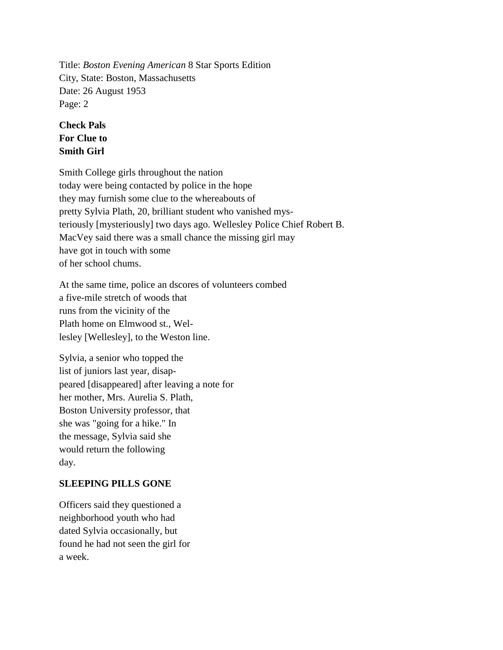Title: *Boston Evening American* 8 Star Sports Edition City, State: Boston, Massachusetts Date: 26 August 1953 Page: 2

## **Check Pals For Clue to Smith Girl**

Smith College girls throughout the nation today were being contacted by police in the hope they may furnish some clue to the whereabouts of pretty Sylvia Plath, 20, brilliant student who vanished mysteriously [mysteriously] two days ago. Wellesley Police Chief Robert B. MacVey said there was a small chance the missing girl may have got in touch with some of her school chums.

At the same time, police an dscores of volunteers combed a five-mile stretch of woods that runs from the vicinity of the Plath home on Elmwood st., Wellesley [Wellesley], to the Weston line.

Sylvia, a senior who topped the list of juniors last year, disappeared [disappeared] after leaving a note for her mother, Mrs. Aurelia S. Plath, Boston University professor, that she was "going for a hike." In the message, Sylvia said she would return the following day.

## **SLEEPING PILLS GONE**

Officers said they questioned a neighborhood youth who had dated Sylvia occasionally, but found he had not seen the girl for a week.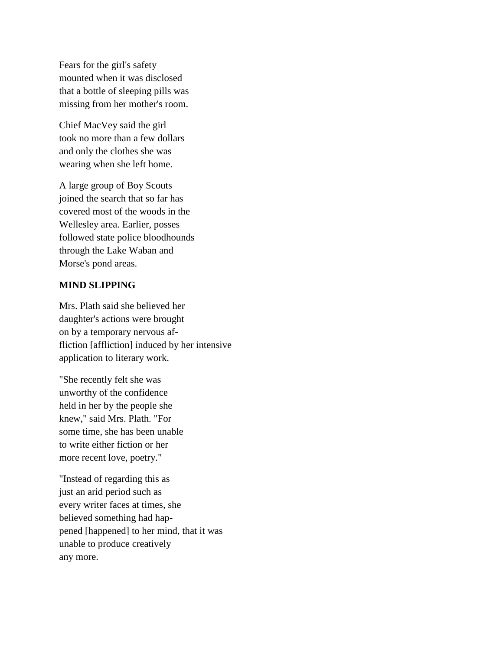Fears for the girl's safety mounted when it was disclosed that a bottle of sleeping pills was missing from her mother's room.

Chief MacVey said the girl took no more than a few dollars and only the clothes she was wearing when she left home.

A large group of Boy Scouts joined the search that so far has covered most of the woods in the Wellesley area. Earlier, posses followed state police bloodhounds through the Lake Waban and Morse's pond areas.

## **MIND SLIPPING**

Mrs. Plath said she believed her daughter's actions were brought on by a temporary nervous affliction [affliction] induced by her intensive application to literary work.

"She recently felt she was unworthy of the confidence held in her by the people she knew," said Mrs. Plath. "For some time, she has been unable to write either fiction or her more recent love, poetry."

"Instead of regarding this as just an arid period such as every writer faces at times, she believed something had happened [happened] to her mind, that it was unable to produce creatively any more.